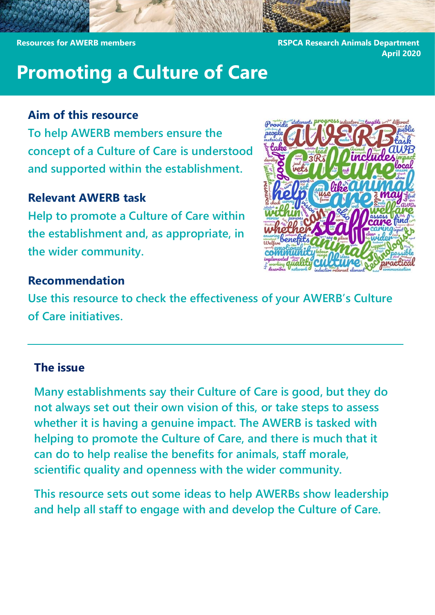**Resources for AWERB members RSPCA Research Animals Department** 

**April 2020**

# **Promoting a Culture of Care**

### **Aim of this resource**

**To help AWERB members ensure the concept of a Culture of Care is understood and supported within the establishment.**

#### **Relevant AWERB task**

**Help to promote a Culture of Care within the establishment and, as appropriate, in the wider community.**



### **Recommendation**

**Use this resource to check the effectiveness of your AWERB's Culture of Care initiatives.**

#### **The issue**

**Many establishments say their Culture of Care is good, but they do not always set out their own vision of this, or take steps to assess whether it is having a genuine impact. The AWERB is tasked with helping to promote the Culture of Care, and there is much that it can do to help realise the benefits for animals, staff morale, scientific quality and openness with the wider community.**

**This resource sets out some ideas to help AWERBs show leadership and help all staff to engage with and develop the Culture of Care.**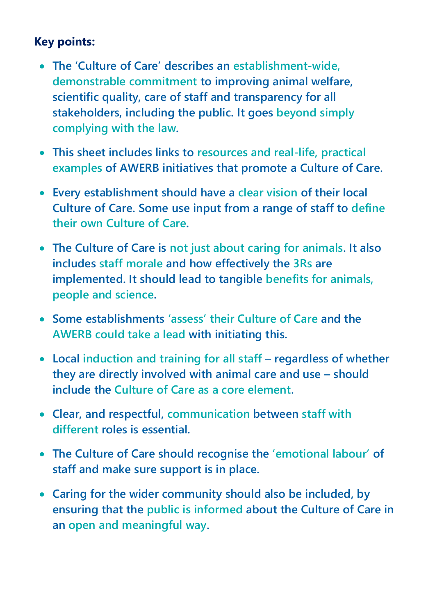## **Key points:**

- **The 'Culture of Care' describes an establishment-wide, demonstrable commitment to improving animal welfare, scientific quality, care of staff and transparency for all stakeholders, including the public. It goes beyond simply complying with the law.**
- **This sheet includes links to resources and real-life, practical examples of AWERB initiatives that promote a Culture of Care.**
- **Every establishment should have a clear vision of their local Culture of Care. Some use input from a range of staff to define their own Culture of Care.**
- **The Culture of Care is not just about caring for animals. It also includes staff morale and how effectively the 3Rs are implemented. It should lead to tangible benefits for animals, people and science.**
- **Some establishments 'assess' their Culture of Care and the AWERB could take a lead with initiating this.**
- **Local induction and training for all staff – regardless of whether they are directly involved with animal care and use – should include the Culture of Care as a core element.**
- **Clear, and respectful, communication between staff with different roles is essential.**
- **The Culture of Care should recognise the 'emotional labour' of staff and make sure support is in place.**
- **Caring for the wider community should also be included, by ensuring that the public is informed about the Culture of Care in an open and meaningful way.**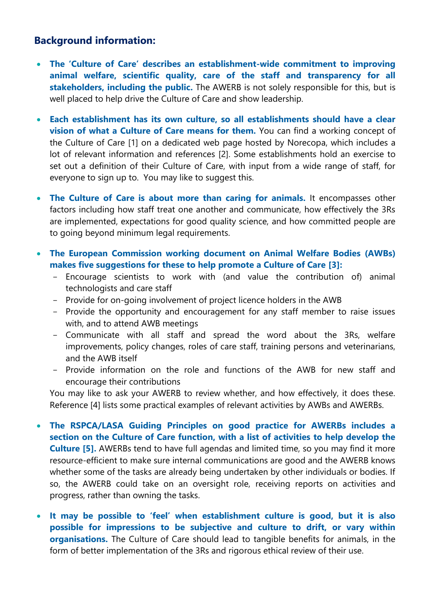#### **Background information:**

- **The 'Culture of Care' describes an establishment-wide commitment to improving animal welfare, scientific quality, care of the staff and transparency for all stakeholders, including the public.** The AWERB is not solely responsible for this, but is well placed to help drive the Culture of Care and show leadership.
- **Each establishment has its own culture, so all establishments should have a clear vision of what a Culture of Care means for them.** You can find a working concept of the Culture of Care [1] on a dedicated web page hosted by Norecopa, which includes a lot of relevant information and references [2]. Some establishments hold an exercise to set out a definition of their Culture of Care, with input from a wide range of staff, for everyone to sign up to. You may like to suggest this.
- **The Culture of Care is about more than caring for animals.** It encompasses other factors including how staff treat one another and communicate, how effectively the 3Rs are implemented, expectations for good quality science, and how committed people are to going beyond minimum legal requirements.
- **The European Commission working document on Animal Welfare Bodies (AWBs) makes five suggestions for these to help promote a Culture of Care [3]:** 
	- Encourage scientists to work with (and value the contribution of) animal technologists and care staff
	- Provide for on-going involvement of project licence holders in the AWB
	- Provide the opportunity and encouragement for any staff member to raise issues with, and to attend AWB meetings
	- Communicate with all staff and spread the word about the 3Rs, welfare improvements, policy changes, roles of care staff, training persons and veterinarians, and the AWB itself
	- Provide information on the role and functions of the AWB for new staff and encourage their contributions

You may like to ask your AWERB to review whether, and how effectively, it does these. Reference [4] lists some practical examples of relevant activities by AWBs and AWERBs.

- **The RSPCA/LASA Guiding Principles on good practice for AWERBs includes a section on the Culture of Care function, with a list of activities to help develop the Culture [5].** AWERBs tend to have full agendas and limited time, so you may find it more resource-efficient to make sure internal communications are good and the AWERB knows whether some of the tasks are already being undertaken by other individuals or bodies. If so, the AWERB could take on an oversight role, receiving reports on activities and progress, rather than owning the tasks.
- **It may be possible to 'feel' when establishment culture is good, but it is also possible for impressions to be subjective and culture to drift, or vary within organisations.** The Culture of Care should lead to tangible benefits for animals, in the form of better implementation of the 3Rs and rigorous ethical review of their use.